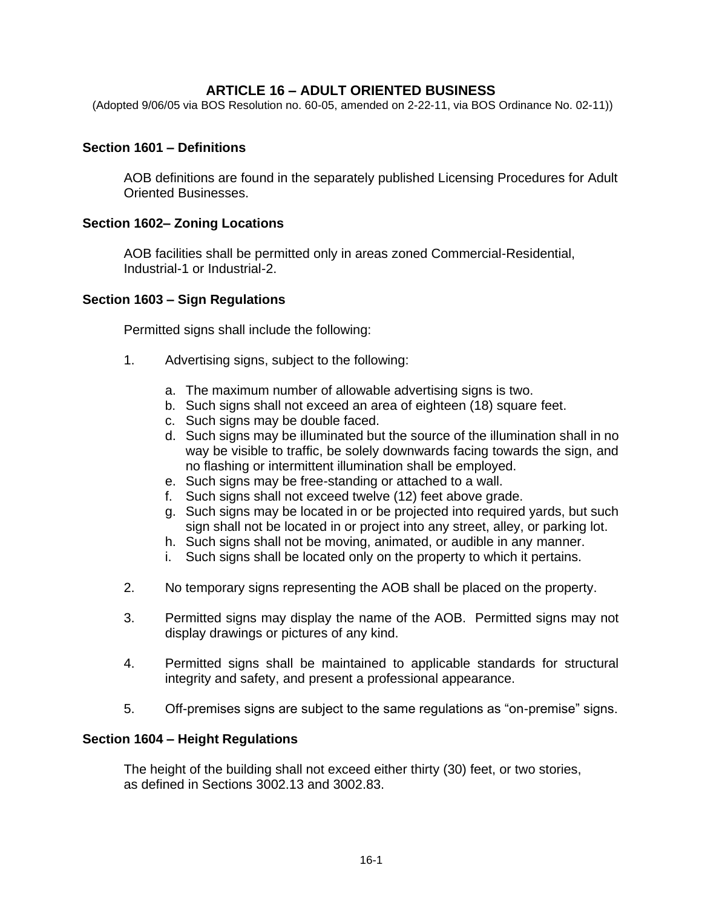## **ARTICLE 16 – ADULT ORIENTED BUSINESS**

(Adopted 9/06/05 via BOS Resolution no. 60-05, amended on 2-22-11, via BOS Ordinance No. 02-11))

#### **Section 1601 – Definitions**

AOB definitions are found in the separately published Licensing Procedures for Adult Oriented Businesses.

#### **Section 1602– Zoning Locations**

AOB facilities shall be permitted only in areas zoned Commercial-Residential, Industrial-1 or Industrial-2.

#### **Section 1603 – Sign Regulations**

Permitted signs shall include the following:

- 1. Advertising signs, subject to the following:
	- a. The maximum number of allowable advertising signs is two.
	- b. Such signs shall not exceed an area of eighteen (18) square feet.
	- c. Such signs may be double faced.
	- d. Such signs may be illuminated but the source of the illumination shall in no way be visible to traffic, be solely downwards facing towards the sign, and no flashing or intermittent illumination shall be employed.
	- e. Such signs may be free-standing or attached to a wall.
	- f. Such signs shall not exceed twelve (12) feet above grade.
	- g. Such signs may be located in or be projected into required yards, but such sign shall not be located in or project into any street, alley, or parking lot.
	- h. Such signs shall not be moving, animated, or audible in any manner.
	- i. Such signs shall be located only on the property to which it pertains.
- 2. No temporary signs representing the AOB shall be placed on the property.
- 3. Permitted signs may display the name of the AOB. Permitted signs may not display drawings or pictures of any kind.
- 4. Permitted signs shall be maintained to applicable standards for structural integrity and safety, and present a professional appearance.
- 5. Off-premises signs are subject to the same regulations as "on-premise" signs.

#### **Section 1604 – Height Regulations**

The height of the building shall not exceed either thirty (30) feet, or two stories, as defined in Sections 3002.13 and 3002.83.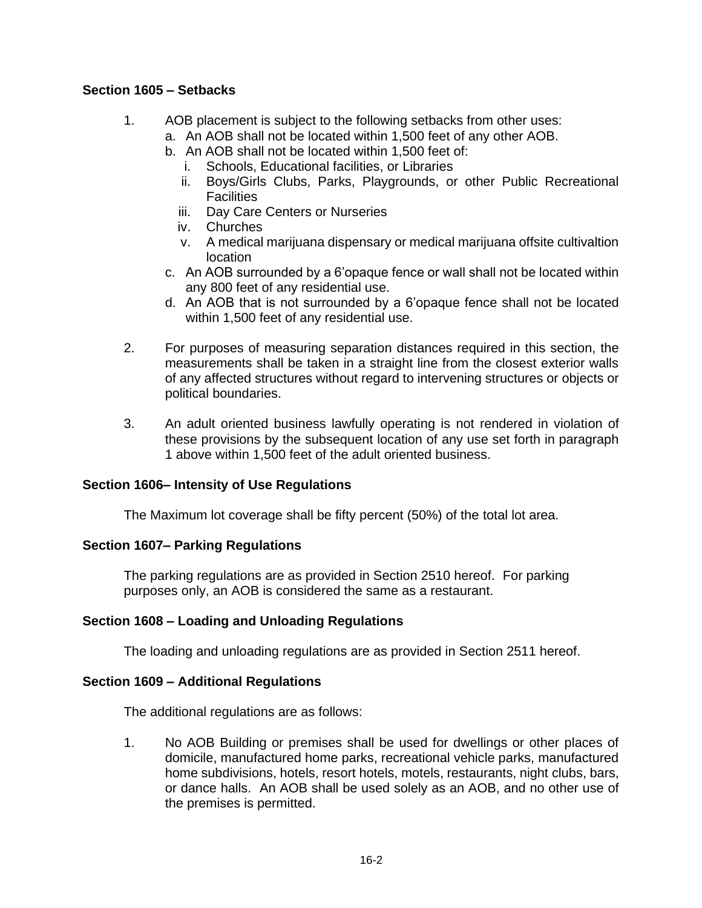## **Section 1605 – Setbacks**

- 1. AOB placement is subject to the following setbacks from other uses:
	- a. An AOB shall not be located within 1,500 feet of any other AOB.
	- b. An AOB shall not be located within 1,500 feet of:
		- i. Schools, Educational facilities, or Libraries
		- ii. Boys/Girls Clubs, Parks, Playgrounds, or other Public Recreational **Facilities**
		- iii. Day Care Centers or Nurseries
		- iv. Churches
		- v. A medical marijuana dispensary or medical marijuana offsite cultivaltion location
	- c. An AOB surrounded by a 6'opaque fence or wall shall not be located within any 800 feet of any residential use.
	- d. An AOB that is not surrounded by a 6'opaque fence shall not be located within 1,500 feet of any residential use.
- 2. For purposes of measuring separation distances required in this section, the measurements shall be taken in a straight line from the closest exterior walls of any affected structures without regard to intervening structures or objects or political boundaries.
- 3. An adult oriented business lawfully operating is not rendered in violation of these provisions by the subsequent location of any use set forth in paragraph 1 above within 1,500 feet of the adult oriented business.

### **Section 1606– Intensity of Use Regulations**

The Maximum lot coverage shall be fifty percent (50%) of the total lot area.

### **Section 1607– Parking Regulations**

The parking regulations are as provided in Section 2510 hereof. For parking purposes only, an AOB is considered the same as a restaurant.

# **Section 1608 – Loading and Unloading Regulations**

The loading and unloading regulations are as provided in Section 2511 hereof.

### **Section 1609 – Additional Regulations**

The additional regulations are as follows:

1. No AOB Building or premises shall be used for dwellings or other places of domicile, manufactured home parks, recreational vehicle parks, manufactured home subdivisions, hotels, resort hotels, motels, restaurants, night clubs, bars, or dance halls. An AOB shall be used solely as an AOB, and no other use of the premises is permitted.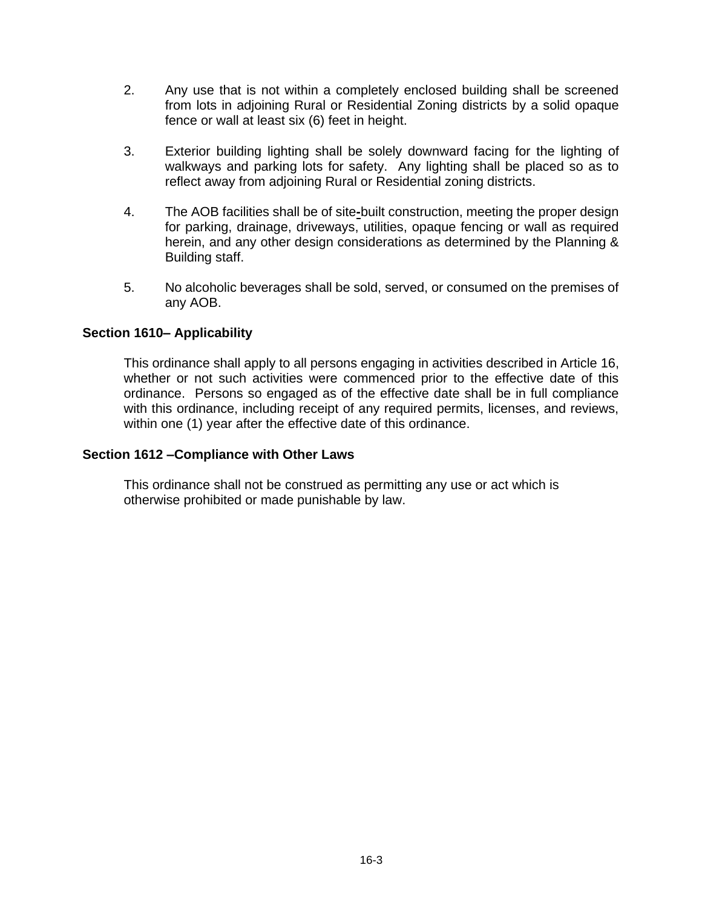- 2. Any use that is not within a completely enclosed building shall be screened from lots in adjoining Rural or Residential Zoning districts by a solid opaque fence or wall at least six (6) feet in height.
- 3. Exterior building lighting shall be solely downward facing for the lighting of walkways and parking lots for safety. Any lighting shall be placed so as to reflect away from adjoining Rural or Residential zoning districts.
- 4. The AOB facilities shall be of site**-**built construction, meeting the proper design for parking, drainage, driveways, utilities, opaque fencing or wall as required herein, and any other design considerations as determined by the Planning & Building staff.
- 5. No alcoholic beverages shall be sold, served, or consumed on the premises of any AOB.

# **Section 1610– Applicability**

This ordinance shall apply to all persons engaging in activities described in Article 16, whether or not such activities were commenced prior to the effective date of this ordinance. Persons so engaged as of the effective date shall be in full compliance with this ordinance, including receipt of any required permits, licenses, and reviews, within one (1) year after the effective date of this ordinance.

#### **Section 1612 –Compliance with Other Laws**

This ordinance shall not be construed as permitting any use or act which is otherwise prohibited or made punishable by law.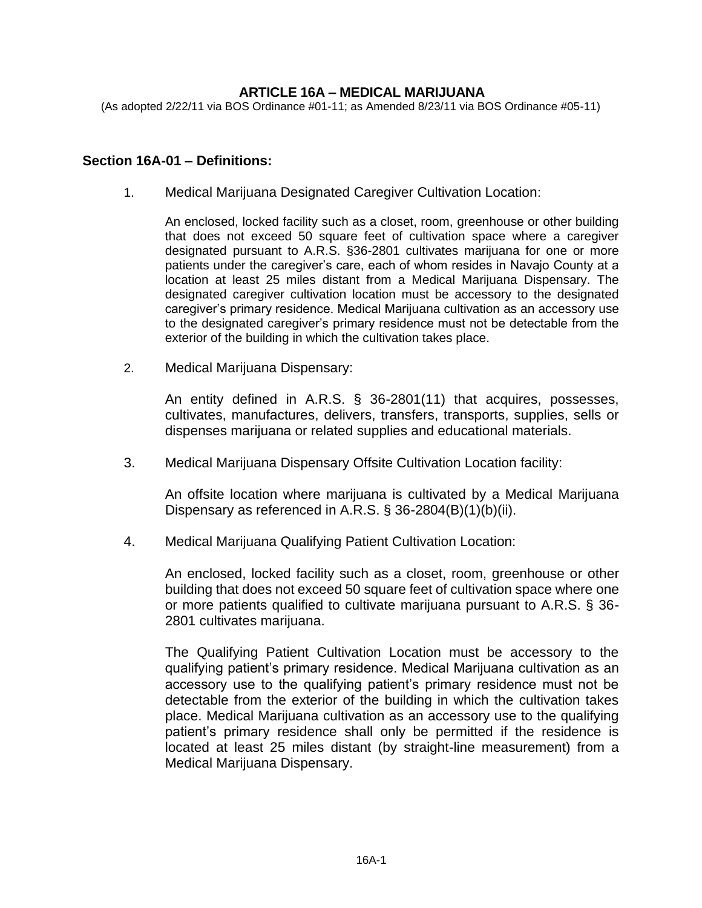## **ARTICLE 16A – MEDICAL MARIJUANA**

(As adopted 2/22/11 via BOS Ordinance #01-11; as Amended 8/23/11 via BOS Ordinance #05-11)

#### **Section 16A-01 – Definitions:**

1. Medical Marijuana Designated Caregiver Cultivation Location:

An enclosed, locked facility such as a closet, room, greenhouse or other building that does not exceed 50 square feet of cultivation space where a caregiver designated pursuant to A.R.S. §36-2801 cultivates marijuana for one or more patients under the caregiver's care, each of whom resides in Navajo County at a location at least 25 miles distant from a Medical Marijuana Dispensary. The designated caregiver cultivation location must be accessory to the designated caregiver's primary residence. Medical Marijuana cultivation as an accessory use to the designated caregiver's primary residence must not be detectable from the exterior of the building in which the cultivation takes place.

2. Medical Marijuana Dispensary:

An entity defined in A.R.S. § 36-2801(11) that acquires, possesses, cultivates, manufactures, delivers, transfers, transports, supplies, sells or dispenses marijuana or related supplies and educational materials.

3. Medical Marijuana Dispensary Offsite Cultivation Location facility:

An offsite location where marijuana is cultivated by a Medical Marijuana Dispensary as referenced in A.R.S. § 36-2804(B)(1)(b)(ii).

4. Medical Marijuana Qualifying Patient Cultivation Location:

An enclosed, locked facility such as a closet, room, greenhouse or other building that does not exceed 50 square feet of cultivation space where one or more patients qualified to cultivate marijuana pursuant to A.R.S. § 36- 2801 cultivates marijuana.

The Qualifying Patient Cultivation Location must be accessory to the qualifying patient's primary residence. Medical Marijuana cultivation as an accessory use to the qualifying patient's primary residence must not be detectable from the exterior of the building in which the cultivation takes place. Medical Marijuana cultivation as an accessory use to the qualifying patient's primary residence shall only be permitted if the residence is located at least 25 miles distant (by straight-line measurement) from a Medical Marijuana Dispensary.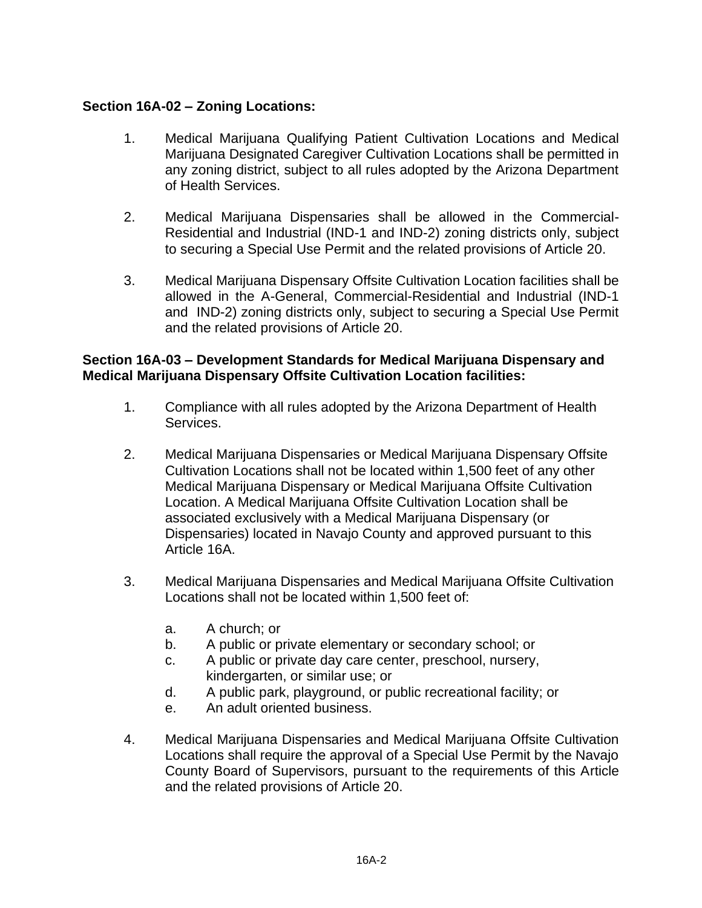# **Section 16A-02 – Zoning Locations:**

- 1. Medical Marijuana Qualifying Patient Cultivation Locations and Medical Marijuana Designated Caregiver Cultivation Locations shall be permitted in any zoning district, subject to all rules adopted by the Arizona Department of Health Services.
- 2. Medical Marijuana Dispensaries shall be allowed in the Commercial-Residential and Industrial (IND-1 and IND-2) zoning districts only, subject to securing a Special Use Permit and the related provisions of Article 20.
- 3. Medical Marijuana Dispensary Offsite Cultivation Location facilities shall be allowed in the A-General, Commercial-Residential and Industrial (IND-1 and IND-2) zoning districts only, subject to securing a Special Use Permit and the related provisions of Article 20.

# **Section 16A-03 – Development Standards for Medical Marijuana Dispensary and Medical Marijuana Dispensary Offsite Cultivation Location facilities:**

- 1. Compliance with all rules adopted by the Arizona Department of Health Services.
- 2. Medical Marijuana Dispensaries or Medical Marijuana Dispensary Offsite Cultivation Locations shall not be located within 1,500 feet of any other Medical Marijuana Dispensary or Medical Marijuana Offsite Cultivation Location. A Medical Marijuana Offsite Cultivation Location shall be associated exclusively with a Medical Marijuana Dispensary (or Dispensaries) located in Navajo County and approved pursuant to this Article 16A.
- 3. Medical Marijuana Dispensaries and Medical Marijuana Offsite Cultivation Locations shall not be located within 1,500 feet of:
	- a. A church; or
	- b. A public or private elementary or secondary school; or
	- c. A public or private day care center, preschool, nursery, kindergarten, or similar use; or
	- d. A public park, playground, or public recreational facility; or
	- e. An adult oriented business.
- 4. Medical Marijuana Dispensaries and Medical Marijuana Offsite Cultivation Locations shall require the approval of a Special Use Permit by the Navajo County Board of Supervisors, pursuant to the requirements of this Article and the related provisions of Article 20.